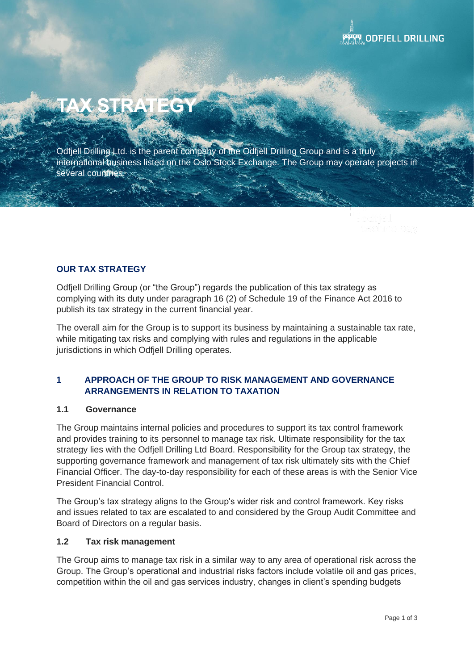# **TAX STRATEGY**

Odfjell Drilling Ltd. is the parent company of the Odfjell Drilling Group and is a truly international business listed on the Oslo Stock Exchange. The Group may operate projects in several countries.

# **OUR TAX STRATEGY**

Odfjell Drilling Group (or "the Group") regards the publication of this tax strategy as complying with its duty under paragraph 16 (2) of Schedule 19 of the Finance Act 2016 to publish its tax strategy in the current financial year.

The overall aim for the Group is to support its business by maintaining a sustainable tax rate, while mitigating tax risks and complying with rules and regulations in the applicable jurisdictions in which Odfjell Drilling operates.

# **1 APPROACH OF THE GROUP TO RISK MANAGEMENT AND GOVERNANCE ARRANGEMENTS IN RELATION TO TAXATION**

## **1.1 Governance**

The Group maintains internal policies and procedures to support its tax control framework and provides training to its personnel to manage tax risk. Ultimate responsibility for the tax strategy lies with the Odfjell Drilling Ltd Board. Responsibility for the Group tax strategy, the supporting governance framework and management of tax risk ultimately sits with the Chief Financial Officer. The day-to-day responsibility for each of these areas is with the Senior Vice President Financial Control.

The Group's tax strategy aligns to the Group's wider risk and control framework. Key risks and issues related to tax are escalated to and considered by the Group Audit Committee and Board of Directors on a regular basis.

## **1.2 Tax risk management**

The Group aims to manage tax risk in a similar way to any area of operational risk across the Group. The Group's operational and industrial risks factors include volatile oil and gas prices, competition within the oil and gas services industry, changes in client's spending budgets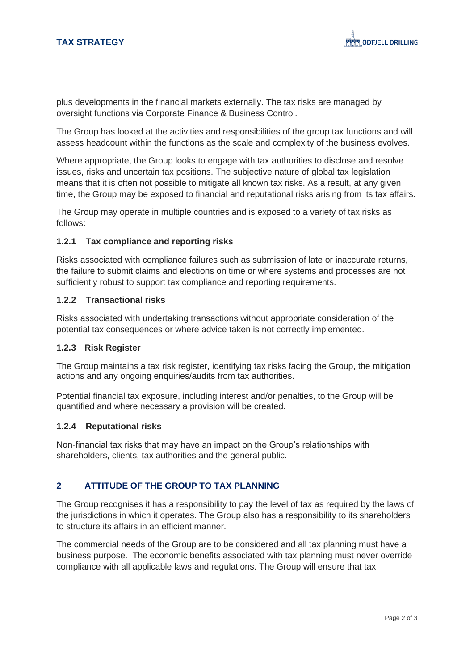plus developments in the financial markets externally. The tax risks are managed by oversight functions via Corporate Finance & Business Control.

The Group has looked at the activities and responsibilities of the group tax functions and will assess headcount within the functions as the scale and complexity of the business evolves.

Where appropriate, the Group looks to engage with tax authorities to disclose and resolve issues, risks and uncertain tax positions. The subjective nature of global tax legislation means that it is often not possible to mitigate all known tax risks. As a result, at any given time, the Group may be exposed to financial and reputational risks arising from its tax affairs.

The Group may operate in multiple countries and is exposed to a variety of tax risks as follows:

## **1.2.1 Tax compliance and reporting risks**

Risks associated with compliance failures such as submission of late or inaccurate returns, the failure to submit claims and elections on time or where systems and processes are not sufficiently robust to support tax compliance and reporting requirements.

## **1.2.2 Transactional risks**

Risks associated with undertaking transactions without appropriate consideration of the potential tax consequences or where advice taken is not correctly implemented.

## **1.2.3 Risk Register**

The Group maintains a tax risk register, identifying tax risks facing the Group, the mitigation actions and any ongoing enquiries/audits from tax authorities.

Potential financial tax exposure, including interest and/or penalties, to the Group will be quantified and where necessary a provision will be created.

## **1.2.4 Reputational risks**

Non-financial tax risks that may have an impact on the Group's relationships with shareholders, clients, tax authorities and the general public.

## **2 ATTITUDE OF THE GROUP TO TAX PLANNING**

The Group recognises it has a responsibility to pay the level of tax as required by the laws of the jurisdictions in which it operates. The Group also has a responsibility to its shareholders to structure its affairs in an efficient manner.

The commercial needs of the Group are to be considered and all tax planning must have a business purpose. The economic benefits associated with tax planning must never override compliance with all applicable laws and regulations. The Group will ensure that tax